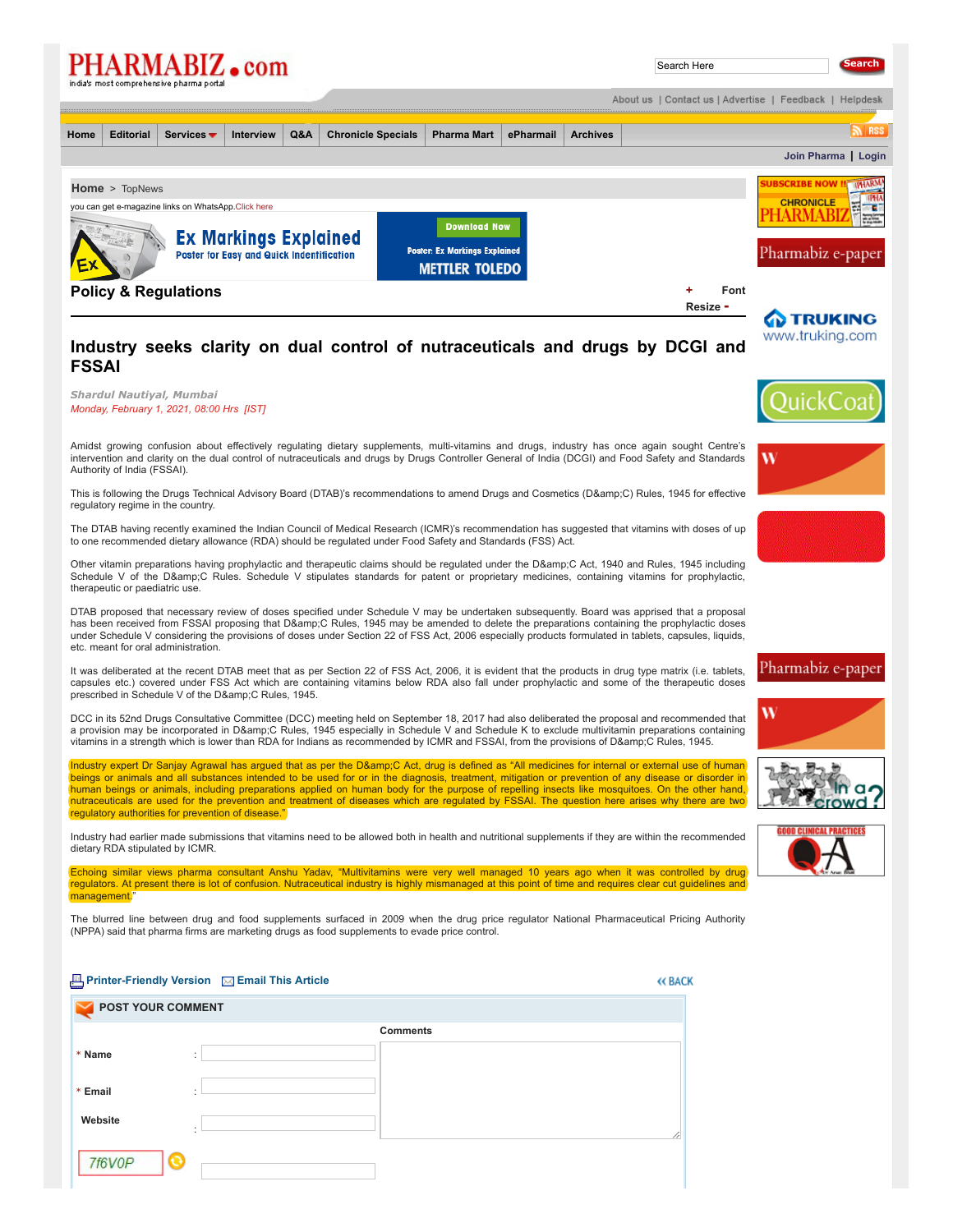|                                                                                                                 |                  | PHARMABIZ.com<br>india's most comprehensive pharma portal |                                           |     |                           |                                                               |           |                 | Search Here                                             |                  |                   | <b>Search</b>       |
|-----------------------------------------------------------------------------------------------------------------|------------------|-----------------------------------------------------------|-------------------------------------------|-----|---------------------------|---------------------------------------------------------------|-----------|-----------------|---------------------------------------------------------|------------------|-------------------|---------------------|
|                                                                                                                 |                  |                                                           |                                           |     |                           |                                                               |           |                 | About us   Contact us   Advertise   Feedback   Helpdesk |                  |                   |                     |
| Home                                                                                                            | <b>Editorial</b> | Services $\blacktriangledown$                             | <b>Interview</b>                          | Q&A | <b>Chronicle Specials</b> | <b>Pharma Mart</b>                                            | ePharmail | <b>Archives</b> |                                                         |                  |                   | $\mathbb{R}$ RSS    |
|                                                                                                                 |                  |                                                           |                                           |     |                           |                                                               |           |                 |                                                         |                  |                   | Join Pharma   Login |
| <b>Home &gt; TopNews</b><br>you can get e-magazine links on WhatsApp.Click here<br><b>Ex Markings Explained</b> |                  |                                                           |                                           |     | <b>Download Now</b>       |                                                               |           |                 |                                                         | <b>CHRONICLE</b> | <b>IPHARMA</b>    |                     |
|                                                                                                                 |                  |                                                           | Poster for Easy and Quick Indentification |     |                           | <b>Poster: Ex Markings Explained</b><br><b>METTLER TOLEDO</b> |           |                 |                                                         |                  | Pharmabiz e-paper |                     |
|                                                                                                                 |                  | <b>Policy &amp; Regulations</b>                           |                                           |     |                           |                                                               |           |                 |                                                         | Font             |                   |                     |

**Resize [-](javascript:decreaseFontSize();)**

W



**[Join Pharma](http://www.pharmabiz.com/Subscription/JoinPharma.aspx) | [Login](http://www.pharmabiz.com/Login.aspx)**

## **Industry seeks clarity on dual control of nutraceuticals and drugs by DCGI and FSSAI**

## *Shardul Nautiyal, Mumbai Monday, February 1, 2021, 08:00 Hrs [IST]*

Amidst growing confusion about effectively regulating dietary supplements, multi-vitamins and drugs, industry has once again sought Centre's intervention and clarity on the dual control of nutraceuticals and drugs by Drugs Controller General of India (DCGI) and Food Safety and Standards Authority of India (FSSAI).

This is following the Drugs Technical Advisory Board (DTAB)'s recommendations to amend Drugs and Cosmetics (D&C) Rules, 1945 for effective regulatory regime in the country.

The DTAB having recently examined the Indian Council of Medical Research (ICMR)'s recommendation has suggested that vitamins with doses of up to one recommended dietary allowance (RDA) should be regulated under Food Safety and Standards (FSS) Act.

Other vitamin preparations having prophylactic and therapeutic claims should be regulated under the D&C Act, 1940 and Rules, 1945 including Schedule V of the D&C Rules. Schedule V stipulates standards for patent or proprietary medicines, containing vitamins for prophylactic, therapeutic or paediatric use.

DTAB proposed that necessary review of doses specified under Schedule V may be undertaken subsequently. Board was apprised that a proposal has been received from FSSAI proposing that D&C Rules, 1945 may be amended to delete the preparations containing the prophylactic doses under Schedule V considering the provisions of doses under Section 22 of FSS Act, 2006 especially products formulated in tablets, capsules, liquids, etc. meant for oral administration.

It was deliberated at the recent DTAB meet that as per Section 22 of FSS Act, 2006, it is evident that the products in drug type matrix (i.e. tablets, capsules etc.) covered under FSS Act which are containing vitamins below RDA also fall under prophylactic and some of the therapeutic doses prescribed in Schedule V of the D&C Rules, 1945.

DCC in its 52nd Drugs Consultative Committee (DCC) meeting held on September 18, 2017 had also deliberated the proposal and recommended that a provision may be incorporated in D&C Rules, 1945 especially in Schedule V and Schedule K to exclude multivitamin preparations containing vitamins in a strength which is lower than RDA for Indians as recommended by ICMR and FSSAI, from the provisions of D&C Rules, 1945.

Industry expert Dr Sanjay Agrawal has argued that as per the D&C Act, drug is defined as "All medicines for internal or external use of human beings or animals and all substances intended to be used for or in the diagnosis, treatment, mitigation or prevention of any disease or disorder in human beings or animals, including preparations applied on human body for the purpose of repelling insects like mosquitoes. On the other hand,<br>nutraceuticals are used for the prevention and treatment of diseases which are regulatory authorities for prevention of disease.

Industry had earlier made submissions that vitamins need to be allowed both in health and nutritional supplements if they are within the recommended dietary RDA stipulated by ICMR.

Echoing similar views pharma consultant Anshu Yadav, "Multivitamins were very well managed 10 years ago when it was controlled by drug<br>regulators. At present there is lot of confusion. Nutraceutical industry is highly mism management

The blurred line between drug and food supplements surfaced in 2009 when the drug price regulator National Pharmaceutical Pricing Authority (NPPA) said that pharma firms are marketing drugs as food supplements to evade price control.

## **[Printer-Friendly Version](http://www.pharmabiz.com/PrintArticle.aspx?aid=135186&sid=1) [Email This Article](http://www.pharmabiz.com/EmailArticle.aspx?aid=135186&sid=1)**

| <b>POST YOUR COMMENT</b>  |           |                 |  |
|---------------------------|-----------|-----------------|--|
|                           |           | <b>Comments</b> |  |
| * Name<br>$\mathbf{r}$    | $\sim$    |                 |  |
| * Email<br>$\bullet$<br>٠ |           |                 |  |
| Website                   | $\bullet$ |                 |  |
| 7f6V0P<br>C               |           |                 |  |